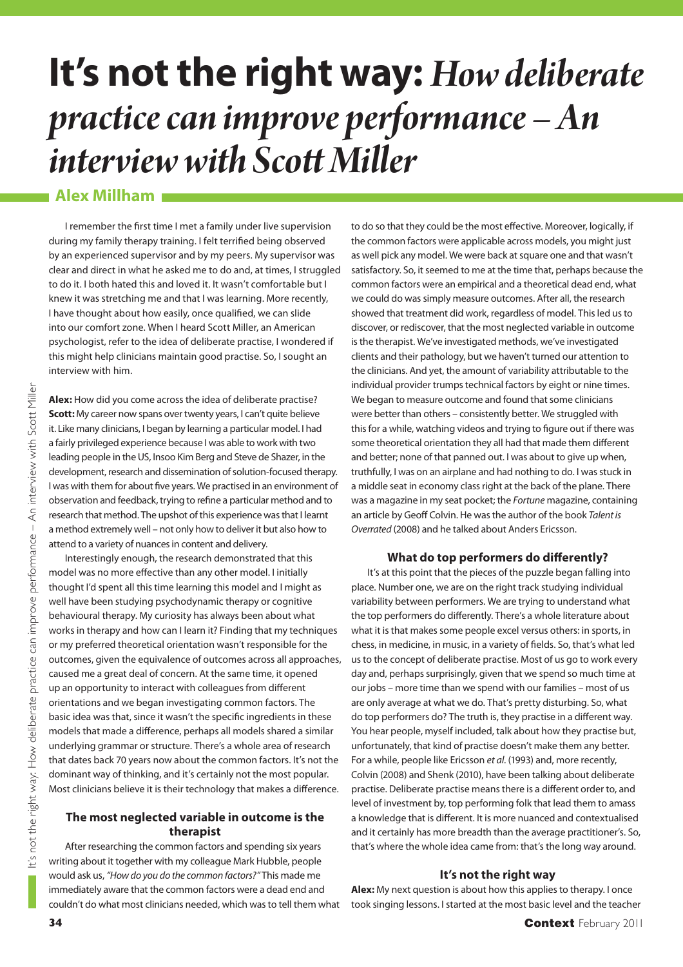# **It's not the right way:** *How deliberate practice can improve performance – An interview with Scott Miller*

## **Alex Millham**

I remember the first time I met a family under live supervision during my family therapy training. I felt terrified being observed by an experienced supervisor and by my peers. My supervisor was clear and direct in what he asked me to do and, at times, I struggled to do it. I both hated this and loved it. It wasn't comfortable but I knew it was stretching me and that I was learning. More recently, I have thought about how easily, once qualified, we can slide into our comfort zone. When I heard Scott Miller, an American psychologist, refer to the idea of deliberate practise, I wondered if this might help clinicians maintain good practise. So, I sought an interview with him.

**Alex:** How did you come across the idea of deliberate practise? **Scott:** My career now spans over twenty years, I can't quite believe it. Like many clinicians, I began by learning a particular model. I had a fairly privileged experience because I was able to work with two leading people in the US, Insoo Kim Berg and Steve de Shazer, in the development, research and dissemination of solution-focused therapy. I was with them for about five years. We practised in an environment of observation and feedback, trying to refine a particular method and to research that method. The upshot of this experience was that I learnt a method extremely well – not only how to deliver it but also how to attend to a variety of nuances in content and delivery.

Interestingly enough, the research demonstrated that this model was no more effective than any other model. I initially thought I'd spent all this time learning this model and I might as well have been studying psychodynamic therapy or cognitive behavioural therapy. My curiosity has always been about what works in therapy and how can I learn it? Finding that my techniques or my preferred theoretical orientation wasn't responsible for the outcomes, given the equivalence of outcomes across all approaches, caused me a great deal of concern. At the same time, it opened up an opportunity to interact with colleagues from different orientations and we began investigating common factors. The basic idea was that, since it wasn't the specific ingredients in these models that made a difference, perhaps all models shared a similar underlying grammar or structure. There's a whole area of research that dates back 70 years now about the common factors. It's not the dominant way of thinking, and it's certainly not the most popular. Most clinicians believe it is their technology that makes a difference.

#### **The most neglected variable in outcome is the therapist**

After researching the common factors and spending six years writing about it together with my colleague Mark Hubble, people would ask us, "How do you do the common factors?" This made me immediately aware that the common factors were a dead end and couldn't do what most clinicians needed, which was to tell them what to do so that they could be the most effective. Moreover, logically, if the common factors were applicable across models, you might just as well pick any model. We were back at square one and that wasn't satisfactory. So, it seemed to me at the time that, perhaps because the common factors were an empirical and a theoretical dead end, what we could do was simply measure outcomes. After all, the research showed that treatment did work, regardless of model. This led us to discover, or rediscover, that the most neglected variable in outcome is the therapist. We've investigated methods, we've investigated clients and their pathology, but we haven't turned our attention to the clinicians. And yet, the amount of variability attributable to the individual provider trumps technical factors by eight or nine times. We began to measure outcome and found that some clinicians were better than others – consistently better. We struggled with this for a while, watching videos and trying to figure out if there was some theoretical orientation they all had that made them different and better; none of that panned out. I was about to give up when, truthfully, I was on an airplane and had nothing to do. I was stuck in a middle seat in economy class right at the back of the plane. There was a magazine in my seat pocket; the Fortune magazine, containing an article by Geoff Colvin. He was the author of the book Talent is Overrated (2008) and he talked about Anders Ericsson.

#### **What do top performers do differently?**

It's at this point that the pieces of the puzzle began falling into place. Number one, we are on the right track studying individual variability between performers. We are trying to understand what the top performers do differently. There's a whole literature about what it is that makes some people excel versus others: in sports, in chess, in medicine, in music, in a variety of fields. So, that's what led us to the concept of deliberate practise. Most of us go to work every day and, perhaps surprisingly, given that we spend so much time at our jobs – more time than we spend with our families – most of us are only average at what we do. That's pretty disturbing. So, what do top performers do? The truth is, they practise in a different way. You hear people, myself included, talk about how they practise but, unfortunately, that kind of practise doesn't make them any better. For a while, people like Ericsson et al. (1993) and, more recently, Colvin (2008) and Shenk (2010), have been talking about deliberate practise. Deliberate practise means there is a different order to, and level of investment by, top performing folk that lead them to amass a knowledge that is different. It is more nuanced and contextualised and it certainly has more breadth than the average practitioner's. So, that's where the whole idea came from: that's the long way around.

### **It's not the right way**

**Alex:** My next question is about how this applies to therapy. I once took singing lessons. I started at the most basic level and the teacher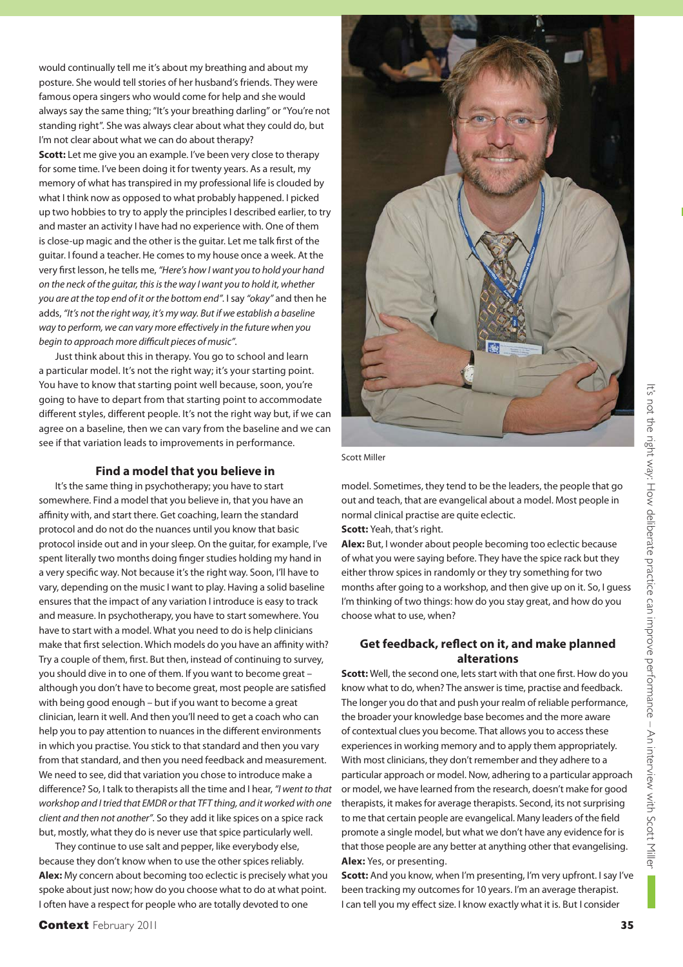would continually tell me it's about my breathing and about my posture. She would tell stories of her husband's friends. They were famous opera singers who would come for help and she would always say the same thing; "It's your breathing darling" or "You're not standing right". She was always clear about what they could do, but I'm not clear about what we can do about therapy?

**Scott:** Let me give you an example. I've been very close to therapy for some time. I've been doing it for twenty years. As a result, my memory of what has transpired in my professional life is clouded by what I think now as opposed to what probably happened. I picked up two hobbies to try to apply the principles I described earlier, to try and master an activity I have had no experience with. One of them is close-up magic and the other is the guitar. Let me talk first of the guitar. I found a teacher. He comes to my house once a week. At the very first lesson, he tells me, "Here's how I want you to hold your hand on the neck of the guitar, this is the way I want you to hold it, whether you are at the top end of it or the bottom end". I say "okay" and then he adds, "It's not the right way, it's my way. But if we establish a baseline way to perform, we can vary more effectively in the future when you begin to approach more difficult pieces of music".

Just think about this in therapy. You go to school and learn a particular model. It's not the right way; it's your starting point. You have to know that starting point well because, soon, you're going to have to depart from that starting point to accommodate different styles, different people. It's not the right way but, if we can agree on a baseline, then we can vary from the baseline and we can see if that variation leads to improvements in performance.

#### **Find a model that you believe in**

It's the same thing in psychotherapy; you have to start somewhere. Find a model that you believe in, that you have an affinity with, and start there. Get coaching, learn the standard protocol and do not do the nuances until you know that basic protocol inside out and in your sleep. On the guitar, for example, I've spent literally two months doing finger studies holding my hand in a very specific way. Not because it's the right way. Soon, I'll have to vary, depending on the music I want to play. Having a solid baseline ensures that the impact of any variation I introduce is easy to track and measure. In psychotherapy, you have to start somewhere. You have to start with a model. What you need to do is help clinicians make that first selection. Which models do you have an affinity with? Try a couple of them, first. But then, instead of continuing to survey, you should dive in to one of them. If you want to become great – although you don't have to become great, most people are satisfied with being good enough – but if you want to become a great clinician, learn it well. And then you'll need to get a coach who can help you to pay attention to nuances in the different environments in which you practise. You stick to that standard and then you vary from that standard, and then you need feedback and measurement. We need to see, did that variation you chose to introduce make a difference? So, I talk to therapists all the time and I hear, "I went to that workshop and I tried that EMDR or that TFT thing, and it worked with one client and then not another". So they add it like spices on a spice rack but, mostly, what they do is never use that spice particularly well.

They continue to use salt and pepper, like everybody else, because they don't know when to use the other spices reliably. **Alex:** My concern about becoming too eclectic is precisely what you spoke about just now; how do you choose what to do at what point. I often have a respect for people who are totally devoted to one



Scott Miller

model. Sometimes, they tend to be the leaders, the people that go out and teach, that are evangelical about a model. Most people in normal clinical practise are quite eclectic.

**Scott:** Yeah, that's right.

**Alex:** But, I wonder about people becoming too eclectic because of what you were saying before. They have the spice rack but they either throw spices in randomly or they try something for two months after going to a workshop, and then give up on it. So, I guess I'm thinking of two things: how do you stay great, and how do you choose what to use, when?

#### Get feedback, reflect on it, and make planned **alterations**

**Scott:** Well, the second one, lets start with that one first. How do you know what to do, when? The answer is time, practise and feedback. The longer you do that and push your realm of reliable performance, the broader your knowledge base becomes and the more aware of contextual clues you become. That allows you to access these experiences in working memory and to apply them appropriately. With most clinicians, they don't remember and they adhere to a particular approach or model. Now, adhering to a particular approach or model, we have learned from the research, doesn't make for good therapists, it makes for average therapists. Second, its not surprising to me that certain people are evangelical. Many leaders of the field promote a single model, but what we don't have any evidence for is that those people are any better at anything other that evangelising. **Alex:** Yes, or presenting.

**Scott:** And you know, when I'm presenting, I'm very upfront. I say I've been tracking my outcomes for 10 years. I'm an average therapist. I can tell you my effect size. I know exactly what it is. But I consider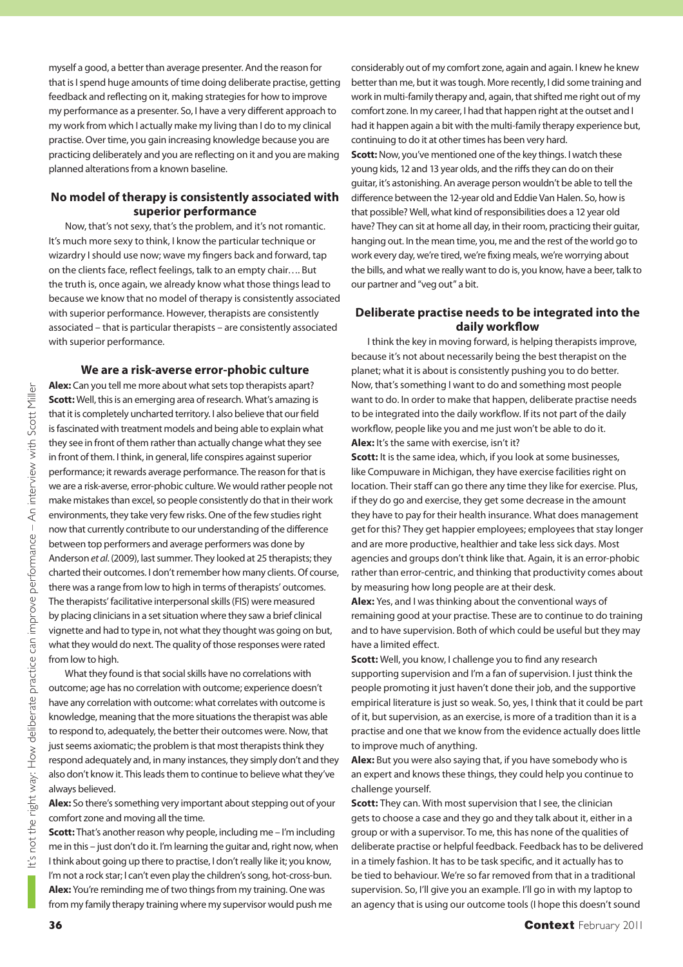myself a good, a better than average presenter. And the reason for that is I spend huge amounts of time doing deliberate practise, getting feedback and reflecting on it, making strategies for how to improve my performance as a presenter. So, I have a very different approach to my work from which I actually make my living than I do to my clinical practise. Over time, you gain increasing knowledge because you are practicing deliberately and you are reflecting on it and you are making planned alterations from a known baseline.

#### **No model of therapy is consistently associated with superior performance**

Now, that's not sexy, that's the problem, and it's not romantic. It's much more sexy to think, I know the particular technique or wizardry I should use now; wave my fingers back and forward, tap on the clients face, reflect feelings, talk to an empty chair.... But the truth is, once again, we already know what those things lead to because we know that no model of therapy is consistently associated with superior performance. However, therapists are consistently associated – that is particular therapists – are consistently associated with superior performance.

**We are a risk-averse error-phobic culture**

**Alex:** Can you tell me more about what sets top therapists apart? **Scott:** Well, this is an emerging area of research. What's amazing is that it is completely uncharted territory. I also believe that our field is fascinated with treatment models and being able to explain what they see in front of them rather than actually change what they see in front of them. I think, in general, life conspires against superior performance; it rewards average performance. The reason for that is we are a risk-averse, error-phobic culture. We would rather people not make mistakes than excel, so people consistently do that in their work environments, they take very few risks. One of the few studies right now that currently contribute to our understanding of the difference between top performers and average performers was done by Anderson et al. (2009), last summer. They looked at 25 therapists; they charted their outcomes. I don't remember how many clients. Of course, there was a range from low to high in terms of therapists' outcomes. The therapists' facilitative interpersonal skills (FIS) were measured by placing clinicians in a set situation where they saw a brief clinical vignette and had to type in, not what they thought was going on but, what they would do next. The quality of those responses were rated from low to high.

What they found is that social skills have no correlations with outcome; age has no correlation with outcome; experience doesn't have any correlation with outcome: what correlates with outcome is knowledge, meaning that the more situations the therapist was able to respond to, adequately, the better their outcomes were. Now, that just seems axiomatic; the problem is that most therapists think they respond adequately and, in many instances, they simply don't and they also don't know it. This leads them to continue to believe what they've always believed.

**Alex:** So there's something very important about stepping out of your comfort zone and moving all the time.

**Scott:** That's another reason why people, including me - I'm including me in this – just don't do it. I'm learning the guitar and, right now, when I think about going up there to practise, I don't really like it; you know, I'm not a rock star; I can't even play the children's song, hot-cross-bun. **Alex:** You're reminding me of two things from my training. One was from my family therapy training where my supervisor would push me

considerably out of my comfort zone, again and again. I knew he knew better than me, but it was tough. More recently, I did some training and work in multi-family therapy and, again, that shifted me right out of my comfort zone. In my career, I had that happen right at the outset and I had it happen again a bit with the multi-family therapy experience but, continuing to do it at other times has been very hard. **Scott:** Now, you've mentioned one of the key things. I watch these young kids, 12 and 13 year olds, and the riffs they can do on their guitar, it's astonishing. An average person wouldn't be able to tell the difference between the 12-year old and Eddie Van Halen. So, how is that possible? Well, what kind of responsibilities does a 12 year old have? They can sit at home all day, in their room, practicing their guitar, hanging out. In the mean time, you, me and the rest of the world go to work every day, we're tired, we're fixing meals, we're worrying about the bills, and what we really want to do is, you know, have a beer, talk to our partner and "veg out" a bit.

#### **Deliberate practise needs to be integrated into the**  daily workflow

I think the key in moving forward, is helping therapists improve, because it's not about necessarily being the best therapist on the planet; what it is about is consistently pushing you to do better. Now, that's something I want to do and something most people want to do. In order to make that happen, deliberate practise needs to be integrated into the daily workflow. If its not part of the daily workflow, people like you and me just won't be able to do it. **Alex:** It's the same with exercise, isn't it?

**Scott:** It is the same idea, which, if you look at some businesses, like Compuware in Michigan, they have exercise facilities right on location. Their staff can go there any time they like for exercise. Plus, if they do go and exercise, they get some decrease in the amount they have to pay for their health insurance. What does management get for this? They get happier employees; employees that stay longer and are more productive, healthier and take less sick days. Most agencies and groups don't think like that. Again, it is an error-phobic rather than error-centric, and thinking that productivity comes about by measuring how long people are at their desk.

**Alex:** Yes, and I was thinking about the conventional ways of remaining good at your practise. These are to continue to do training and to have supervision. Both of which could be useful but they may have a limited effect.

**Scott:** Well, you know, I challenge you to find any research supporting supervision and I'm a fan of supervision. I just think the people promoting it just haven't done their job, and the supportive empirical literature is just so weak. So, yes, I think that it could be part of it, but supervision, as an exercise, is more of a tradition than it is a practise and one that we know from the evidence actually does little to improve much of anything.

**Alex:** But you were also saying that, if you have somebody who is an expert and knows these things, they could help you continue to challenge yourself.

**Scott:** They can. With most supervision that I see, the clinician gets to choose a case and they go and they talk about it, either in a group or with a supervisor. To me, this has none of the qualities of deliberate practise or helpful feedback. Feedback has to be delivered in a timely fashion. It has to be task specific, and it actually has to be tied to behaviour. We're so far removed from that in a traditional supervision. So, I'll give you an example. I'll go in with my laptop to an agency that is using our outcome tools (I hope this doesn't sound